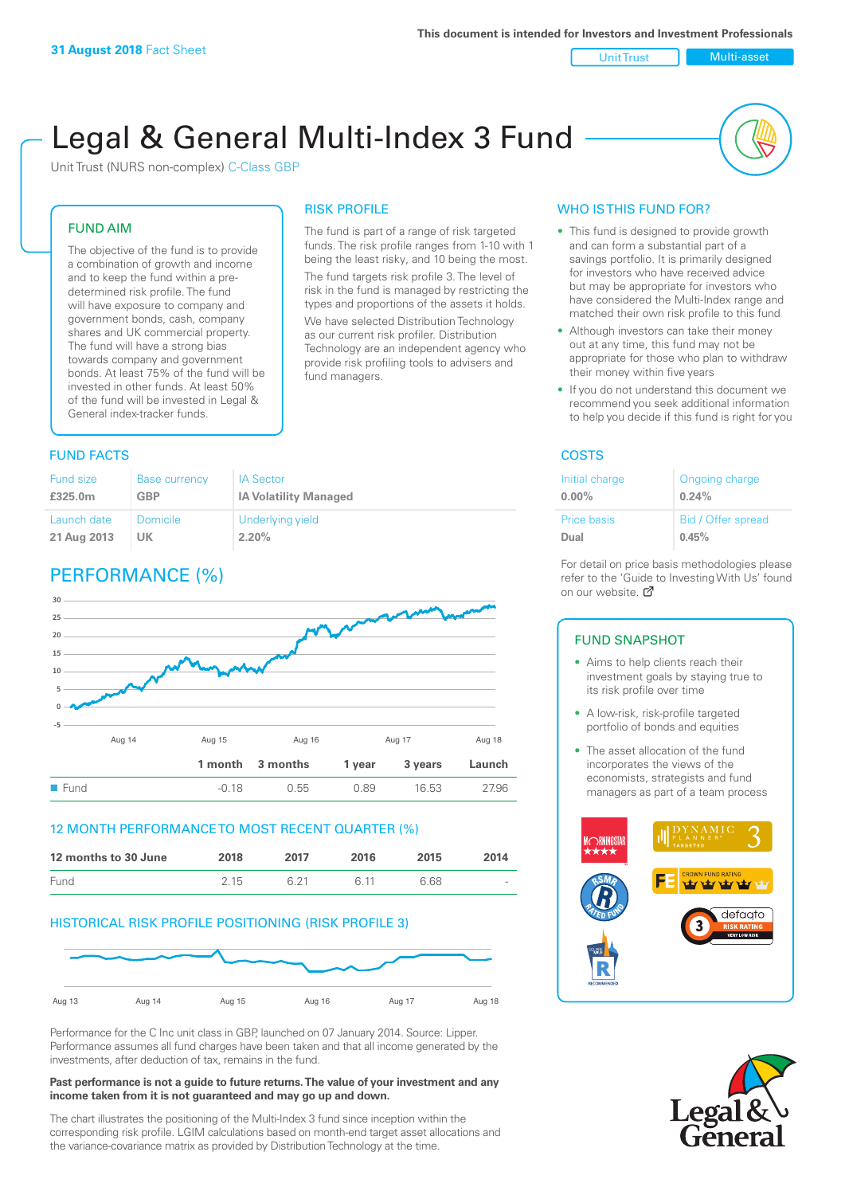#### Unit Trust Nulti-asset

# Legal & General Multi-Index 3 Fund

RISK PROFILE

fund managers.

The fund is part of a range of risk targeted funds. The risk profile ranges from 1-10 with 1 being the least risky, and 10 being the most. The fund targets risk profile 3. The level of risk in the fund is managed by restricting the types and proportions of the assets it holds. We have selected Distribution Technology as our current risk profiler. Distribution Technology are an independent agency who provide risk profiling tools to advisers and

Unit Trust (NURS non-complex) C-Class GBP

#### FUND AIM

The objective of the fund is to provide a combination of growth and income and to keep the fund within a predetermined risk profile. The fund will have exposure to company and government bonds, cash, company shares and UK commercial property. The fund will have a strong bias towards company and government bonds. At least 75% of the fund will be invested in other funds. At least 50% of the fund will be invested in Legal & General index-tracker funds.

#### **FUND FACTS** COSTS

| Fund size   | <b>Base currency</b> | <b>IA Sector</b>             |
|-------------|----------------------|------------------------------|
| £325.0m     | <b>GBP</b>           | <b>IA Volatility Managed</b> |
| Launch date | <b>Domicile</b>      | Underlying yield             |
| 21 Aug 2013 | UK                   | 2.20%                        |

# PERFORMANCE (%)



#### 12 MONTH PERFORMANCE TO MOST RECENT QUARTER (%)

| 12 months to 30 June | 2018 | 2017 | 2016 | 2015 | 2014   |
|----------------------|------|------|------|------|--------|
| Fund                 | 215  | 6.21 | G 11 | 6.68 | $\sim$ |

#### HISTORICAL RISK PROFILE POSITIONING (RISK PROFILE 3)



Performance for the C Inc unit class in GBP, launched on 07 January 2014. Source: Lipper. Performance assumes all fund charges have been taken and that all income generated by the investments, after deduction of tax, remains in the fund.

#### **Past performance is not a guide to future returns. The value of your investment and any income taken from it is not guaranteed and may go up and down.**

The chart illustrates the positioning of the Multi-Index 3 fund since inception within the corresponding risk profile. LGIM calculations based on month-end target asset allocations and the variance-covariance matrix as provided by Distribution Technology at the time.

#### WHO IS THIS FUND FOR?

- This fund is designed to provide growth and can form a substantial part of a savings portfolio. It is primarily designed for investors who have received advice but may be appropriate for investors who have considered the Multi-Index range and matched their own risk profile to this fund
- Although investors can take their money out at any time, this fund may not be appropriate for those who plan to withdraw their money within five years
- If you do not understand this document we recommend you seek additional information to help you decide if this fund is right for you

| Initial charge | Ongoing charge     |
|----------------|--------------------|
| $0.00\%$       | 0.24%              |
| Price basis    | Bid / Offer spread |
| Dual           | 0.45%              |

For detail on price basis methodologies please refer to the 'Gu[ide t](http://www.legalandgeneral.com/guide)o Investing With Us' found on our website. Ø

#### FUND SNAPSHOT

- Aims to help clients reach their investment goals by staying true to its risk profile over time
- A low-risk, risk-profile targeted portfolio of bonds and equities
- The asset allocation of the fund incorporates the views of the economists, strategists and fund managers as part of a team process



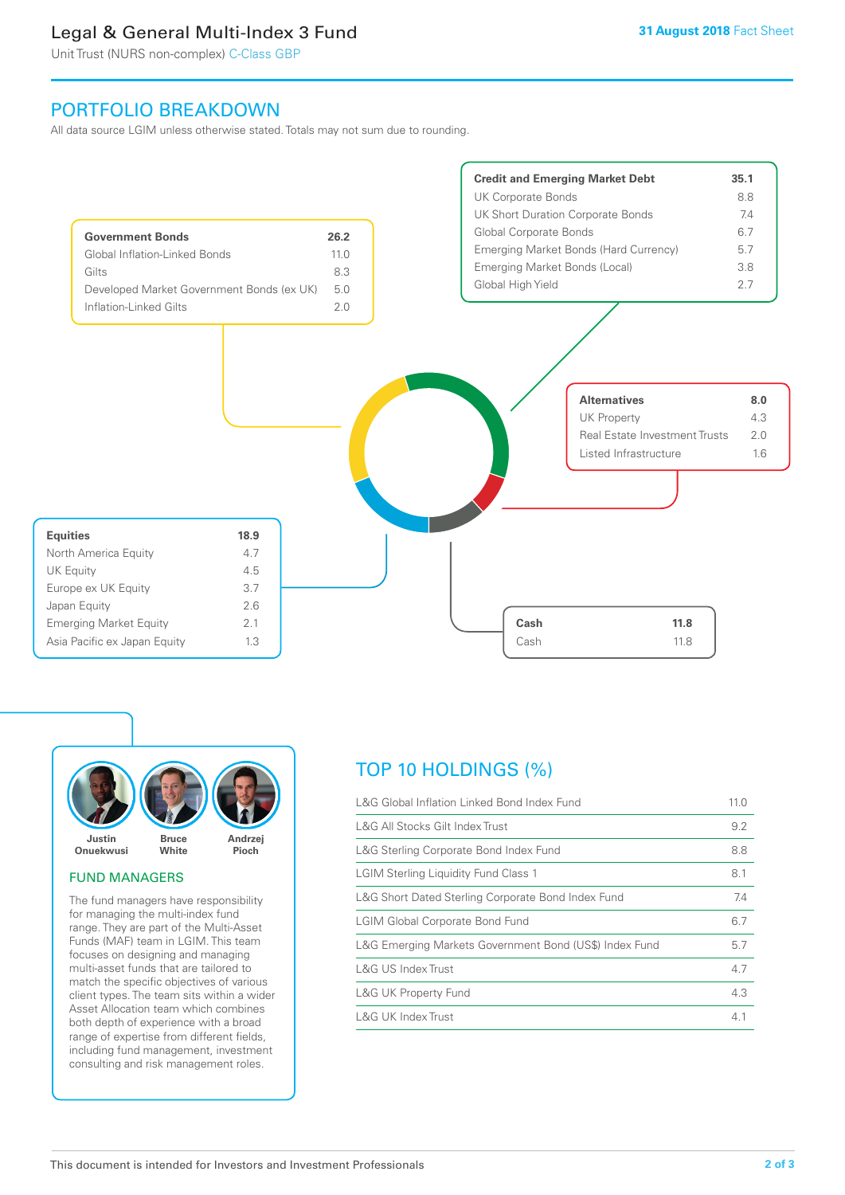# Legal & General Multi-Index 3 Fund

Unit Trust (NURS non-complex) C-Class GBP

## PORTFOLIO BREAKDOWN

All data source LGIM unless otherwise stated. Totals may not sum due to rounding.





#### FUND MANAGERS

The fund managers have responsibility for managing the multi-index fund range. They are part of the Multi-Asset Funds (MAF) team in LGIM. This team focuses on designing and managing multi-asset funds that are tailored to match the specific objectives of various client types. The team sits within a wider Asset Allocation team which combines both depth of experience with a broad range of expertise from different fields, including fund management, investment consulting and risk management roles.

# TOP 10 HOLDINGS (%)

| L&G Global Inflation Linked Bond Index Fund            | 11.0 |
|--------------------------------------------------------|------|
| L&G All Stocks Gilt Index Trust                        | 9.2  |
| L&G Sterling Corporate Bond Index Fund                 | 8.8  |
| <b>LGIM Sterling Liquidity Fund Class 1</b>            | 8.1  |
| L&G Short Dated Sterling Corporate Bond Index Fund     | 7.4  |
| <b>LGIM Global Corporate Bond Fund</b>                 | 6.7  |
| L&G Emerging Markets Government Bond (US\$) Index Fund | 5.7  |
| L&G US Index Trust                                     | 4.7  |
| <b>L&amp;G UK Property Fund</b>                        | 4.3  |
| L&G UK Index Trust                                     | 4.1  |